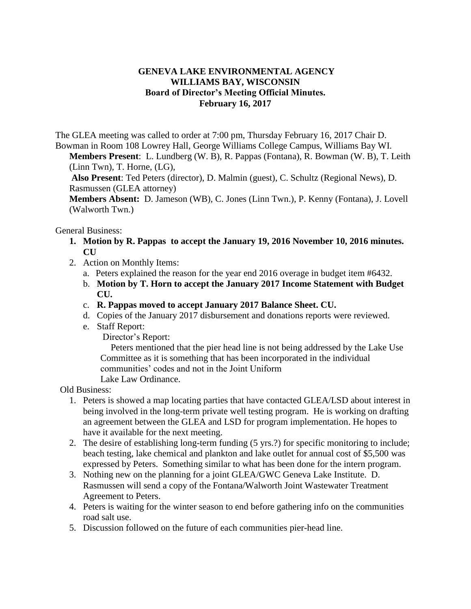## **GENEVA LAKE ENVIRONMENTAL AGENCY WILLIAMS BAY, WISCONSIN Board of Director's Meeting Official Minutes. February 16, 2017**

The GLEA meeting was called to order at 7:00 pm, Thursday February 16, 2017 Chair D. Bowman in Room 108 Lowrey Hall, George Williams College Campus, Williams Bay WI.

**Members Present**: L. Lundberg (W. B), R. Pappas (Fontana), R. Bowman (W. B), T. Leith (Linn Twn), T. Horne, (LG),

**Also Present**: Ted Peters (director), D. Malmin (guest), C. Schultz (Regional News), D. Rasmussen (GLEA attorney)

**Members Absent:** D. Jameson (WB), C. Jones (Linn Twn.), P. Kenny (Fontana), J. Lovell (Walworth Twn.)

General Business:

- **1. Motion by R. Pappas to accept the January 19, 2016 November 10, 2016 minutes. CU**
- 2. Action on Monthly Items:
	- a. Peters explained the reason for the year end 2016 overage in budget item #6432.
	- b. **Motion by T. Horn to accept the January 2017 Income Statement with Budget CU.**
	- c. **R. Pappas moved to accept January 2017 Balance Sheet. CU.**
	- d. Copies of the January 2017 disbursement and donations reports were reviewed.
	- e. Staff Report:

Director's Report:

Peters mentioned that the pier head line is not being addressed by the Lake Use Committee as it is something that has been incorporated in the individual communities' codes and not in the Joint Uniform Lake Law Ordinance.

Old Business:

- 1. Peters is showed a map locating parties that have contacted GLEA/LSD about interest in being involved in the long-term private well testing program. He is working on drafting an agreement between the GLEA and LSD for program implementation. He hopes to have it available for the next meeting.
- 2. The desire of establishing long-term funding (5 yrs.?) for specific monitoring to include; beach testing, lake chemical and plankton and lake outlet for annual cost of \$5,500 was expressed by Peters. Something similar to what has been done for the intern program.
- 3. Nothing new on the planning for a joint GLEA/GWC Geneva Lake Institute. D. Rasmussen will send a copy of the Fontana/Walworth Joint Wastewater Treatment Agreement to Peters.
- 4. Peters is waiting for the winter season to end before gathering info on the communities road salt use.
- 5. Discussion followed on the future of each communities pier-head line.